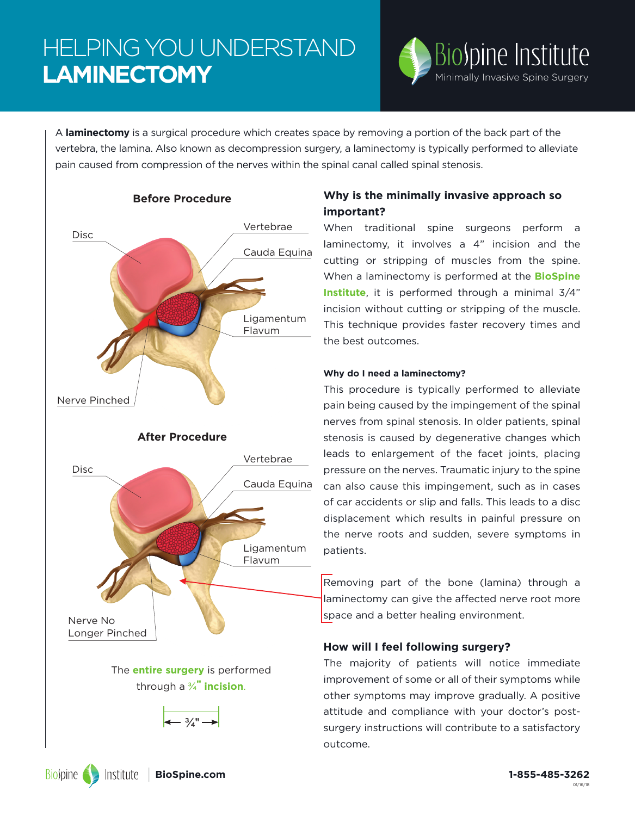# HELPING YOU UNDERSTAND **LAMINECTOMY**



A **laminectomy** is a surgical procedure which creates space by removing a portion of the back part of the vertebra, the lamina. Also known as decompression surgery, a laminectomy is typically performed to alleviate pain caused from compression of the nerves within the spinal canal called spinal stenosis.



### **Why is the minimally invasive approach so important?**

When traditional spine surgeons perform a laminectomy, it involves a 4" incision and the cutting or stripping of muscles from the spine. When a laminectomy is performed at the **BioSpine Institute**, it is performed through a minimal 3/4" incision without cutting or stripping of the muscle. This technique provides faster recovery times and the best outcomes.

#### **Why do I need a laminectomy?**

This procedure is typically performed to alleviate pain being caused by the impingement of the spinal nerves from spinal stenosis. In older patients, spinal stenosis is caused by degenerative changes which leads to enlargement of the facet joints, placing pressure on the nerves. Traumatic injury to the spine can also cause this impingement, such as in cases of car accidents or slip and falls. This leads to a disc displacement which results in painful pressure on the nerve roots and sudden, severe symptoms in patients.

Removing part of the bone (lamina) through a laminectomy can give the affected nerve root more space and a better healing environment.

### **How will I feel following surgery?**

The majority of patients will notice immediate improvement of some or all of their symptoms while other symptoms may improve gradually. A positive attitude and compliance with your doctor's postsurgery instructions will contribute to a satisfactory outcome.